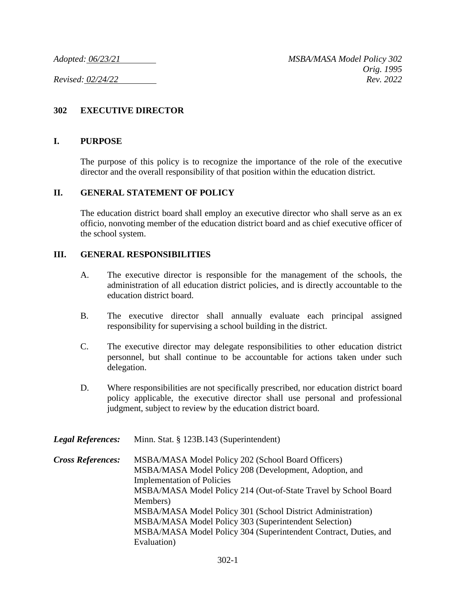## **302 EXECUTIVE DIRECTOR**

## **I. PURPOSE**

The purpose of this policy is to recognize the importance of the role of the executive director and the overall responsibility of that position within the education district.

## **II. GENERAL STATEMENT OF POLICY**

The education district board shall employ an executive director who shall serve as an ex officio, nonvoting member of the education district board and as chief executive officer of the school system.

## **III. GENERAL RESPONSIBILITIES**

- A. The executive director is responsible for the management of the schools, the administration of all education district policies, and is directly accountable to the education district board.
- B. The executive director shall annually evaluate each principal assigned responsibility for supervising a school building in the district.
- C. The executive director may delegate responsibilities to other education district personnel, but shall continue to be accountable for actions taken under such delegation.
- D. Where responsibilities are not specifically prescribed, nor education district board policy applicable, the executive director shall use personal and professional judgment, subject to review by the education district board.

*Legal References:* Minn. Stat. § 123B.143 (Superintendent)

*Cross References:* MSBA/MASA Model Policy 202 (School Board Officers) MSBA/MASA Model Policy 208 (Development, Adoption, and Implementation of Policies MSBA/MASA Model Policy 214 (Out-of-State Travel by School Board Members) MSBA/MASA Model Policy 301 (School District Administration) MSBA/MASA Model Policy 303 (Superintendent Selection) MSBA/MASA Model Policy 304 (Superintendent Contract, Duties, and Evaluation)